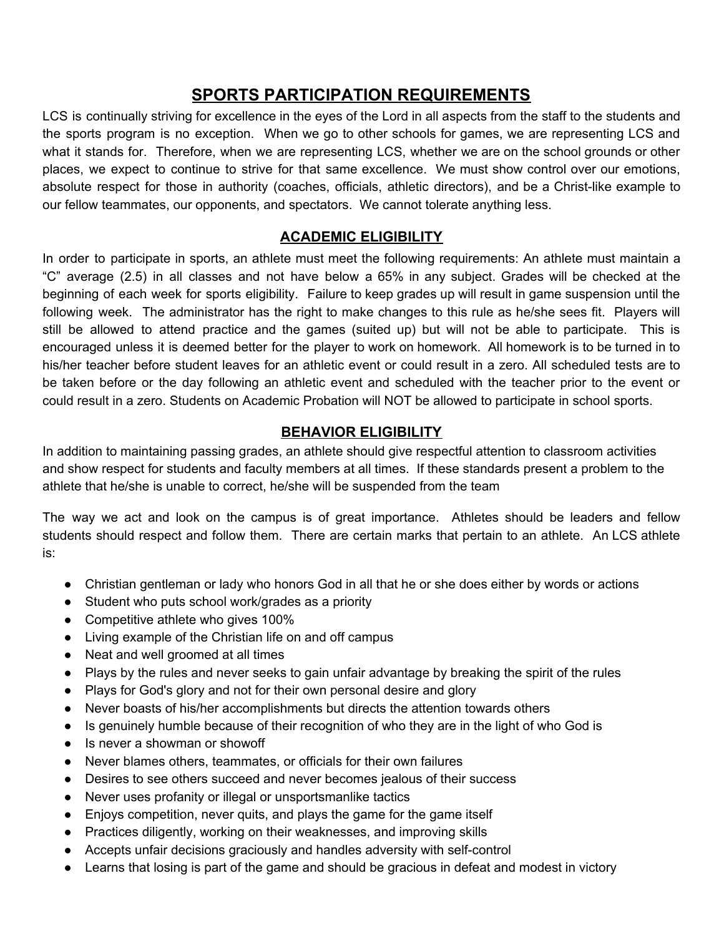# **SPORTS PARTICIPATION REQUIREMENTS**

LCS is continually striving for excellence in the eyes of the Lord in all aspects from the staff to the students and the sports program is no exception. When we go to other schools for games, we are representing LCS and what it stands for. Therefore, when we are representing LCS, whether we are on the school grounds or other places, we expect to continue to strive for that same excellence. We must show control over our emotions, absolute respect for those in authority (coaches, officials, athletic directors), and be a Christ-like example to our fellow teammates, our opponents, and spectators. We cannot tolerate anything less.

#### **ACADEMIC ELIGIBILITY**

In order to participate in sports, an athlete must meet the following requirements: An athlete must maintain a "C" average (2.5) in all classes and not have below a 65% in any subject. Grades will be checked at the beginning of each week for sports eligibility. Failure to keep grades up will result in game suspension until the following week. The administrator has the right to make changes to this rule as he/she sees fit. Players will still be allowed to attend practice and the games (suited up) but will not be able to participate. This is encouraged unless it is deemed better for the player to work on homework. All homework is to be turned in to his/her teacher before student leaves for an athletic event or could result in a zero. All scheduled tests are to be taken before or the day following an athletic event and scheduled with the teacher prior to the event or could result in a zero. Students on Academic Probation will NOT be allowed to participate in school sports.

#### **BEHAVIOR ELIGIBILITY**

In addition to maintaining passing grades, an athlete should give respectful attention to classroom activities and show respect for students and faculty members at all times. If these standards present a problem to the athlete that he/she is unable to correct, he/she will be suspended from the team

The way we act and look on the campus is of great importance. Athletes should be leaders and fellow students should respect and follow them. There are certain marks that pertain to an athlete. An LCS athlete is:

- Christian gentleman or lady who honors God in all that he or she does either by words or actions
- Student who puts school work/grades as a priority
- Competitive athlete who gives 100%
- Living example of the Christian life on and off campus
- Neat and well groomed at all times
- Plays by the rules and never seeks to gain unfair advantage by breaking the spirit of the rules
- Plays for God's glory and not for their own personal desire and glory
- Never boasts of his/her accomplishments but directs the attention towards others
- Is genuinely humble because of their recognition of who they are in the light of who God is
- Is never a showman or showoff
- Never blames others, teammates, or officials for their own failures
- Desires to see others succeed and never becomes jealous of their success
- Never uses profanity or illegal or unsportsmanlike tactics
- Enjoys competition, never quits, and plays the game for the game itself
- Practices diligently, working on their weaknesses, and improving skills
- Accepts unfair decisions graciously and handles adversity with self-control
- Learns that losing is part of the game and should be gracious in defeat and modest in victory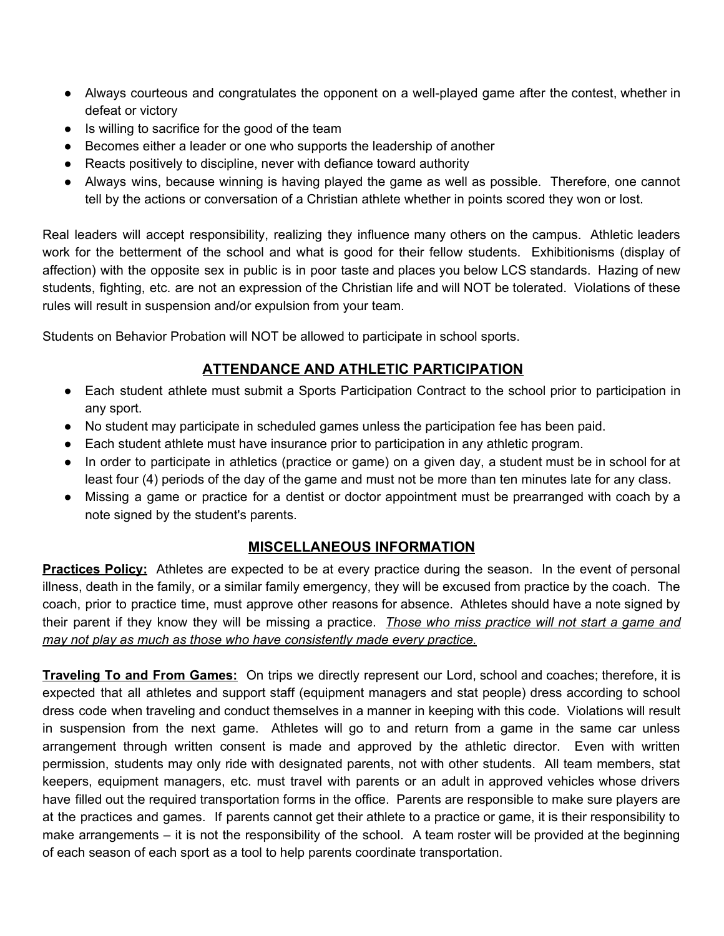- Always courteous and congratulates the opponent on a well-played game after the contest, whether in defeat or victory
- Is willing to sacrifice for the good of the team
- Becomes either a leader or one who supports the leadership of another
- Reacts positively to discipline, never with defiance toward authority
- Always wins, because winning is having played the game as well as possible. Therefore, one cannot tell by the actions or conversation of a Christian athlete whether in points scored they won or lost.

Real leaders will accept responsibility, realizing they influence many others on the campus. Athletic leaders work for the betterment of the school and what is good for their fellow students. Exhibitionisms (display of affection) with the opposite sex in public is in poor taste and places you below LCS standards. Hazing of new students, fighting, etc. are not an expression of the Christian life and will NOT be tolerated. Violations of these rules will result in suspension and/or expulsion from your team.

Students on Behavior Probation will NOT be allowed to participate in school sports.

## **ATTENDANCE AND ATHLETIC PARTICIPATION**

- Each student athlete must submit a Sports Participation Contract to the school prior to participation in any sport.
- No student may participate in scheduled games unless the participation fee has been paid.
- Each student athlete must have insurance prior to participation in any athletic program.
- In order to participate in athletics (practice or game) on a given day, a student must be in school for at least four (4) periods of the day of the game and must not be more than ten minutes late for any class.
- Missing a game or practice for a dentist or doctor appointment must be prearranged with coach by a note signed by the student's parents.

### **MISCELLANEOUS INFORMATION**

**Practices Policy:** Athletes are expected to be at every practice during the season. In the event of personal illness, death in the family, or a similar family emergency, they will be excused from practice by the coach. The coach, prior to practice time, must approve other reasons for absence. Athletes should have a note signed by their parent if they know they will be missing a practice. *Those who miss practice will not start a game and may not play as much as those who have consistently made every practice.*

**Traveling To and From Games:** On trips we directly represent our Lord, school and coaches; therefore, it is expected that all athletes and support staff (equipment managers and stat people) dress according to school dress code when traveling and conduct themselves in a manner in keeping with this code. Violations will result in suspension from the next game. Athletes will go to and return from a game in the same car unless arrangement through written consent is made and approved by the athletic director. Even with written permission, students may only ride with designated parents, not with other students. All team members, stat keepers, equipment managers, etc. must travel with parents or an adult in approved vehicles whose drivers have filled out the required transportation forms in the office. Parents are responsible to make sure players are at the practices and games. If parents cannot get their athlete to a practice or game, it is their responsibility to make arrangements – it is not the responsibility of the school. A team roster will be provided at the beginning of each season of each sport as a tool to help parents coordinate transportation.